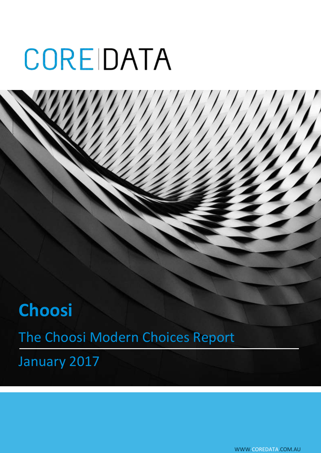# **Choosi** The Choosi Modern Choices Report January 2017

WWW.COREDATA.COM.AU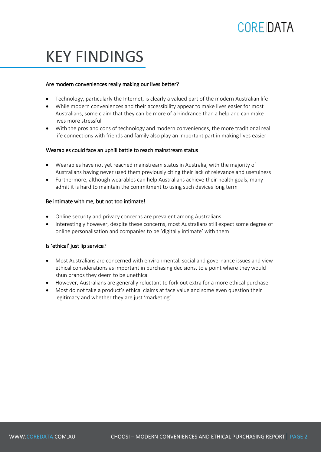# KEY FINDINGS

#### Are modern conveniences really making our lives better?

- Technology, particularly the Internet, is clearly a valued part of the modern Australian life
- While modern conveniences and their accessibility appear to make lives easier for most Australians, some claim that they can be more of a hindrance than a help and can make lives more stressful
- With the pros and cons of technology and modern conveniences, the more traditional real life connections with friends and family also play an important part in making lives easier

#### Wearables could face an uphill battle to reach mainstream status

- Wearables have not yet reached mainstream status in Australia, with the majority of Australians having never used them previously citing their lack of relevance and usefulness
- Furthermore, although wearables can help Australians achieve their health goals, many admit it is hard to maintain the commitment to using such devices long term

#### Be intimate with me, but not too intimate!

- Online security and privacy concerns are prevalent among Australians
- Interestingly however, despite these concerns, most Australians still expect some degree of online personalisation and companies to be 'digitally intimate' with them

#### Is 'ethical' just lip service?

- Most Australians are concerned with environmental, social and governance issues and view ethical considerations as important in purchasing decisions, to a point where they would shun brands they deem to be unethical
- However, Australians are generally reluctant to fork out extra for a more ethical purchase
- Most do not take a product's ethical claims at face value and some even question their legitimacy and whether they are just 'marketing'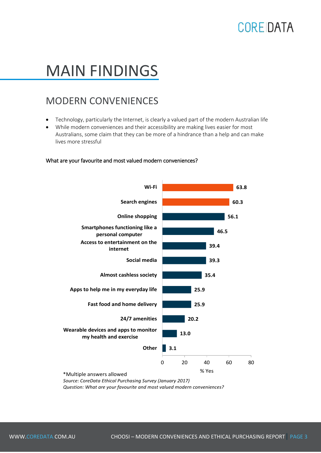# MAIN FINDINGS

#### MODERN CONVENIENCES

- Technology, particularly the Internet, is clearly a valued part of the modern Australian life
- While modern conveniences and their accessibility are making lives easier for most Australians, some claim that they can be more of a hindrance than a help and can make lives more stressful

#### What are your favourite and most valued modern conveniences?



*Source: CoreData Ethical Purchasing Survey (January 2017)*

*Question: What are your favourite and most valued modern conveniences?*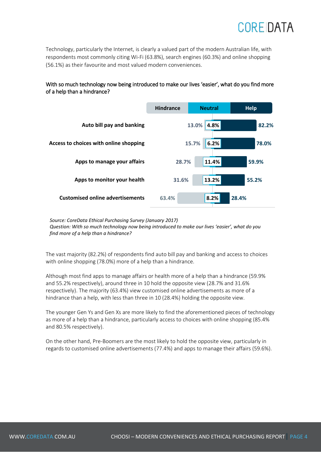Technology, particularly the Internet, is clearly a valued part of the modern Australian life, with respondents most commonly citing Wi-Fi (63.8%), search engines (60.3%) and online shopping (56.1%) as their favourite and most valued modern conveniences.

#### With so much technology now being introduced to make our lives 'easier', what do you find more of a help than a hindrance?



*Source: CoreData Ethical Purchasing Survey (January 2017) Question: With so much technology now being introduced to make our lives 'easier', what do you find more of a help than a hindrance?*

The vast majority (82.2%) of respondents find auto bill pay and banking and access to choices with online shopping (78.0%) more of a help than a hindrance.

Although most find apps to manage affairs or health more of a help than a hindrance (59.9% and 55.2% respectively), around three in 10 hold the opposite view (28.7% and 31.6% respectively). The majority (63.4%) view customised online advertisements as more of a hindrance than a help, with less than three in 10 (28.4%) holding the opposite view.

The younger Gen Ys and Gen Xs are more likely to find the aforementioned pieces of technology as more of a help than a hindrance, particularly access to choices with online shopping (85.4% and 80.5% respectively).

On the other hand, Pre-Boomers are the most likely to hold the opposite view, particularly in regards to customised online advertisements (77.4%) and apps to manage their affairs (59.6%).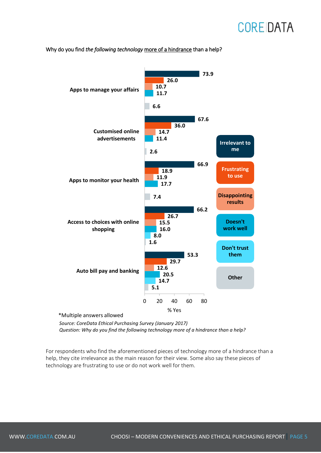

Why do you find *the following technology* more of a hindrance than a help?

\*Multiple answers allowed

*Source: CoreData Ethical Purchasing Survey (January 2017) Question: Why do you find the following technology more of a hindrance than a help?*

For respondents who find the aforementioned pieces of technology more of a hindrance than a help, they cite irrelevance as the main reason for their view. Some also say these pieces of technology are frustrating to use or do not work well for them.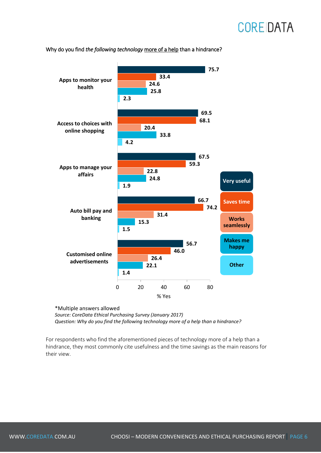

Why do you find *the following technology* more of a help than a hindrance?

\*Multiple answers allowed

*Source: CoreData Ethical Purchasing Survey (January 2017) Question: Why do you find the following technology more of a help than a hindrance?*

For respondents who find the aforementioned pieces of technology more of a help than a hindrance, they most commonly cite usefulness and the time savings as the main reasons for their view.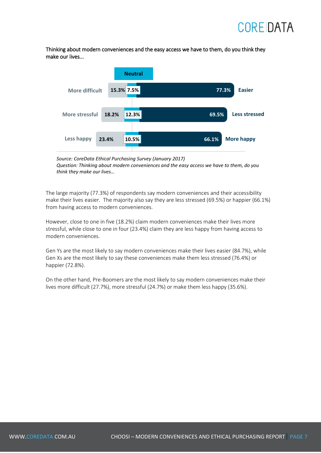Thinking about modern conveniences and the easy access we have to them, do you think they make our lives...



*Source: CoreData Ethical Purchasing Survey (January 2017) Question: Thinking about modern conveniences and the easy access we have to them, do you think they make our lives…*

The large majority (77.3%) of respondents say modern conveniences and their accessibility make their lives easier. The majority also say they are less stressed (69.5%) or happier (66.1%) from having access to modern conveniences.

However, close to one in five (18.2%) claim modern conveniences make their lives more stressful, while close to one in four (23.4%) claim they are less happy from having access to modern conveniences.

Gen Ys are the most likely to say modern conveniences make their lives easier (84.7%), while Gen Xs are the most likely to say these conveniences make them less stressed (76.4%) or happier (72.8%).

On the other hand, Pre-Boomers are the most likely to say modern conveniences make their lives more difficult (27.7%), more stressful (24.7%) or make them less happy (35.6%).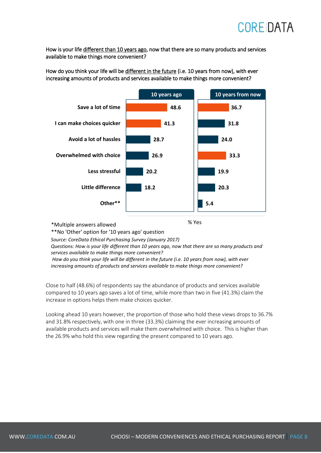

How is your life different than 10 years ago, now that there are so many products and services available to make things more convenient?

**10 years ago 48.6 41.3 28.7 26.9 20.2 18.2 Save a lot of time I can make choices quicker Avoid a lot of hassles Overwhelmed with choice Less stressful Little difference Other\*\* 36.7 31.8 24.0 33.3 19.9 20.3 5.4 10 years from now**

How do you think your life will be different in the future (i.e. 10 years from now), with ever increasing amounts of products and services available to make things more convenient?

\*Multiple answers allowed

\*\*No 'Other' option for '10 years ago' question

*Source: CoreData Ethical Purchasing Survey (January 2017)*

*Questions: How is your life different than 10 years ago, now that there are so many products and services available to make things more convenient?*

% Yes

*How do you think your life will be different in the future (i.e. 10 years from now), with ever increasing amounts of products and services available to make things more convenient?*

Close to half (48.6%) of respondents say the abundance of products and services available compared to 10 years ago saves a lot of time, while more than two in five (41.3%) claim the increase in options helps them make choices quicker.

Looking ahead 10 years however, the proportion of those who hold these views drops to 36.7% and 31.8% respectively, with one in three (33.3%) claiming the ever increasing amounts of available products and services will make them overwhelmed with choice. This is higher than the 26.9% who hold this view regarding the present compared to 10 years ago.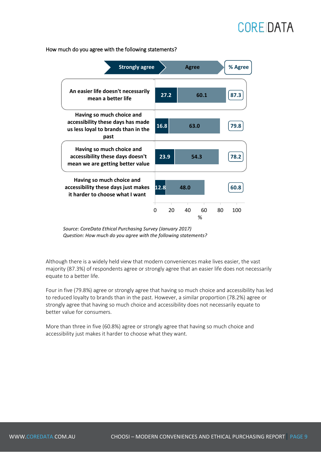**27.2 16.8 23.9 12.8 60.1 63.0 54.3 48.0 87.3 79.8 78.2 60.8** 0 20 40 60 80 100 **An easier life doesn't necessarily mean a better life Having so much choice and accessibility these days has made us less loyal to brands than in the past Having so much choice and accessibility these days doesn't mean we are getting better value Having so much choice and accessibility these days just makes it harder to choose what I want** % **Strongly agree Agree % Agree**

How much do you agree with the following statements?

*Source: CoreData Ethical Purchasing Survey (January 2017) Question: How much do you agree with the following statements?*

Although there is a widely held view that modern conveniences make lives easier, the vast majority (87.3%) of respondents agree or strongly agree that an easier life does not necessarily equate to a better life.

Four in five (79.8%) agree or strongly agree that having so much choice and accessibility has led to reduced loyalty to brands than in the past. However, a similar proportion (78.2%) agree or strongly agree that having so much choice and accessibility does not necessarily equate to better value for consumers.

More than three in five (60.8%) agree or strongly agree that having so much choice and accessibility just makes it harder to choose what they want.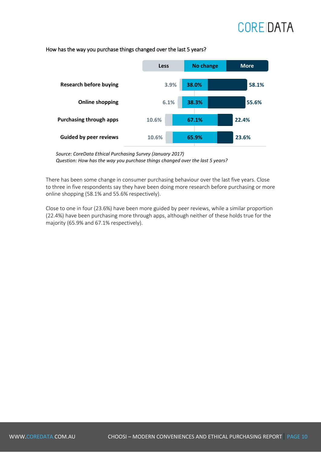#### **Less No change More Research before buying 3.9% 38.0% 58.1% Online shopping 6.1% 38.3% 55.6% Purchasing through apps 10.6% 22.4% 67.1% Guided by peer reviews 10.6% 65.9% 23.6%**

#### How has the way you purchase things changed over the last 5 years?

*Source: CoreData Ethical Purchasing Survey (January 2017) Question: How has the way you purchase things changed over the last 5 years?*

There has been some change in consumer purchasing behaviour over the last five years. Close to three in five respondents say they have been doing more research before purchasing or more online shopping (58.1% and 55.6% respectively).

Close to one in four (23.6%) have been more guided by peer reviews, while a similar proportion (22.4%) have been purchasing more through apps, although neither of these holds true for the majority (65.9% and 67.1% respectively).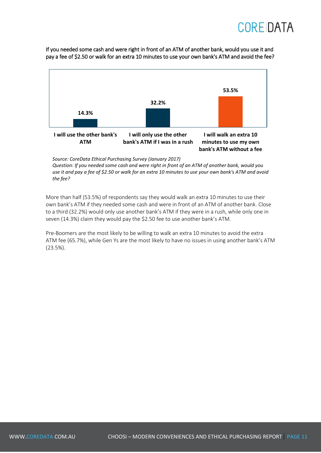If you needed some cash and were right in front of an ATM of another bank, would you use it and pay a fee of \$2.50 or walk for an extra 10 minutes to use your own bank's ATM and avoid the fee?



*Source: CoreData Ethical Purchasing Survey (January 2017)*

*Question: If you needed some cash and were right in front of an ATM of another bank, would you*  use it and pay a fee of \$2.50 or walk for an extra 10 minutes to use your own bank's ATM and avoid *the fee?*

More than half (53.5%) of respondents say they would walk an extra 10 minutes to use their own bank's ATM if they needed some cash and were in front of an ATM of another bank. Close to a third (32.2%) would only use another bank's ATM if they were in a rush, while only one in seven (14.3%) claim they would pay the \$2.50 fee to use another bank's ATM.

Pre-Boomers are the most likely to be willing to walk an extra 10 minutes to avoid the extra ATM fee (65.7%), while Gen Ys are the most likely to have no issues in using another bank's ATM (23.5%).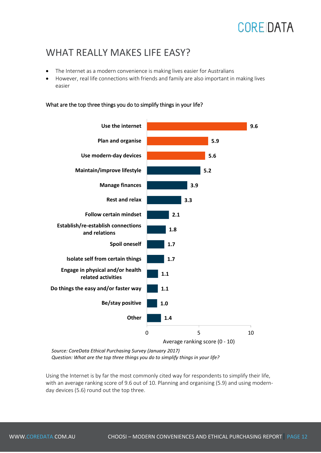#### WHAT REALLY MAKES LIFF FASY?

- The Internet as a modern convenience is making lives easier for Australians
- However, real life connections with friends and family are also important in making lives easier

What are the top three things you do to simplify things in your life?



Average ranking score (0 - 10)

*Source: CoreData Ethical Purchasing Survey (January 2017) Question: What are the top three things you do to simplify things in your life?* 

Using the Internet is by far the most commonly cited way for respondents to simplify their life, with an average ranking score of 9.6 out of 10. Planning and organising (5.9) and using modernday devices (5.6) round out the top three.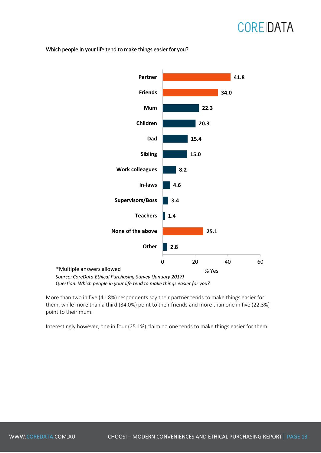Which people in your life tend to make things easier for you?



*Question: Which people in your life tend to make things easier for you?*

More than two in five (41.8%) respondents say their partner tends to make things easier for them, while more than a third (34.0%) point to their friends and more than one in five (22.3%) point to their mum.

Interestingly however, one in four (25.1%) claim no one tends to make things easier for them.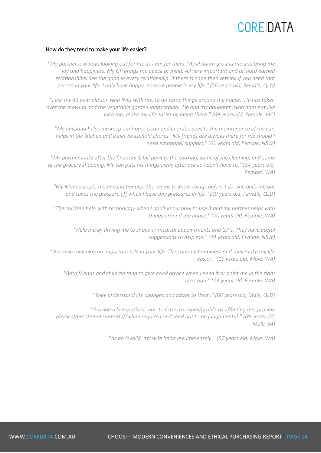#### How do they tend to make your life easier?

*''My partner is always looking out for me as I am for them. My children ground me and bring me joy and happiness. My GP brings me peace of mind. All very important and all hard earned relationships. See the good in every relationship. If there is none then rethink if you need that person in your life. I only have happy, positive people in my life.'' (56 years old, Female, QLD)* 

*''I ask my 43 year old son who lives with me, to do some things around the house. He has taken over the mowing and the vegetable garden landscaping. He and my daughter (who does not live with me) make my life easier by being there.'' (69 years old, Female, VIC)* 

*''My husband helps me keep our home clean and in order, sees to the maintenance of my car, helps in the kitchen and other household chores. My friends are always there for me should I need emotional support.'' (61 years old, Female, NSW)* 

*''My partner looks after the finances & bill paying, the cooking, some of the cleaning, and some of the grocery shopping. My son puts his things away after use so I don't have to.'' (54 years old, Female, WA)* 

*''My Mum accepts me unconditionally. She seems to know things before I do. She bails me out and takes the pressure off when I have any pressures in life.'' (39 years old, Female, QLD)* 

*''The children help with technology when I don't know how to use it and my partner helps with things around the house.'' (70 years old, Female, WA)* 

*''Help me by driving me to shops or medical appointments and GP's. They have useful suggestions to help me.'' (74 years old, Female, NSW)* 

*''Because they play an important role in your life. They are my happiness and they make my life easier.'' (19 years old, Male, WA)* 

*''Both friends and children tend to give good advice when I need it or point me in the right direction.'' (73 years old, Female, WA)* 

*''They understand life changes and adapt to them.'' (68 years old, Male, QLD)* 

*''Provide a 'sympathetic ear' to listen to issues/problems affecting me, provide physical/emotional support if/when required and tend not to be judgemental.'' (69 years old, Male, SA)* 

*''As an invalid, my wife helps me immensely.'' (57 years old, Male, WA)*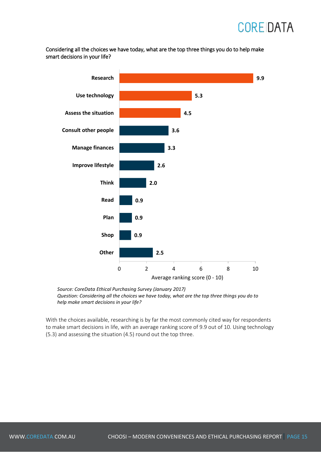Considering all the choices we have today, what are the top three things you do to help make smart decisions in your life?



*Source: CoreData Ethical Purchasing Survey (January 2017) Question: Considering all the choices we have today, what are the top three things you do to help make smart decisions in your life?*

With the choices available, researching is by far the most commonly cited way for respondents to make smart decisions in life, with an average ranking score of 9.9 out of 10. Using technology (5.3) and assessing the situation (4.5) round out the top three.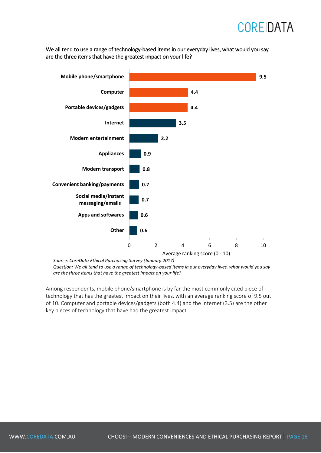We all tend to use a range of technology-based items in our everyday lives, what would you say are the three items that have the greatest impact on your life?



*Source: CoreData Ethical Purchasing Survey (January 2017)*

*Question: We all tend to use a range of technology-based items in our everyday lives, what would you say are the three items that have the greatest impact on your life?*

Among respondents, mobile phone/smartphone is by far the most commonly cited piece of technology that has the greatest impact on their lives, with an average ranking score of 9.5 out of 10. Computer and portable devices/gadgets (both 4.4) and the Internet (3.5) are the other key pieces of technology that have had the greatest impact.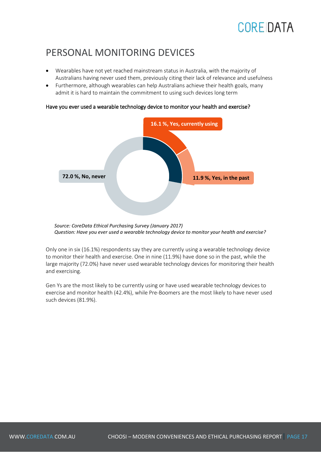#### PERSONAL MONITORING DEVICES

- Wearables have not yet reached mainstream status in Australia, with the majority of Australians having never used them, previously citing their lack of relevance and usefulness
- Furthermore, although wearables can help Australians achieve their health goals, many admit it is hard to maintain the commitment to using such devices long term



#### Have you ever used a wearable technology device to monitor your health and exercise?

Only one in six (16.1%) respondents say they are currently using a wearable technology device to monitor their health and exercise. One in nine (11.9%) have done so in the past, while the large majority (72.0%) have never used wearable technology devices for monitoring their health and exercising.

Gen Ys are the most likely to be currently using or have used wearable technology devices to exercise and monitor health (42.4%), while Pre-Boomers are the most likely to have never used such devices (81.9%).

*Source: CoreData Ethical Purchasing Survey (January 2017) Question: Have you ever used a wearable technology device to monitor your health and exercise?*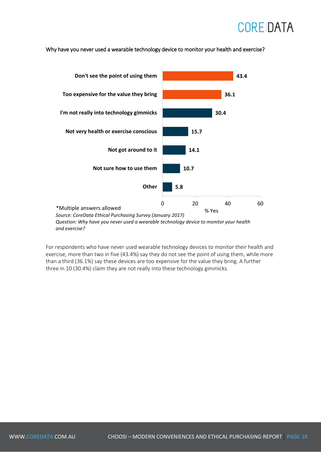

Why have you never used a wearable technology device to monitor your health and exercise?

*Question: Why have you never used a wearable technology device to monitor your health and exercise?*

For respondents who have never used wearable technology devices to monitor their health and exercise, more than two in five (43.4%) say they do not see the point of using them, while more than a third (36.1%) say these devices are too expensive for the value they bring. A further three in 10 (30.4%) claim they are not really into these technology gimmicks.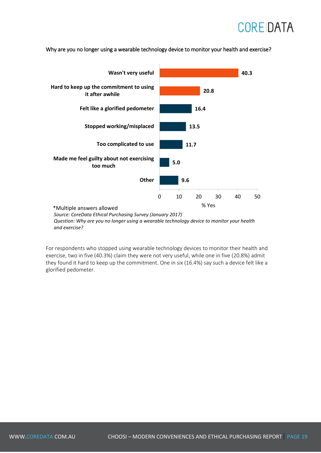

Why are you no longer using a wearable technology device to monitor your health and exercise?

*Question: Why are you no longer using a wearable technology device to monitor your health and exercise?*

For respondents who stopped using wearable technology devices to monitor their health and exercise, two in five (40.3%) claim they were not very useful, while one in five (20.8%) admit they found it hard to keep up the commitment. One in six (16.4%) say such a device felt like a glorified pedometer.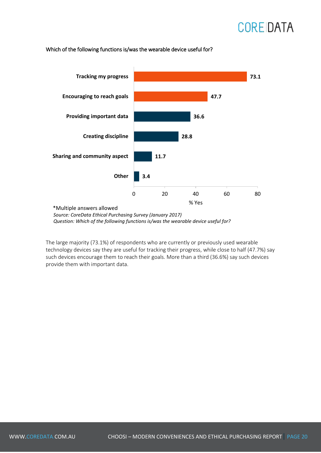#### Which of the following functions is/was the wearable device useful for?



*Source: CoreData Ethical Purchasing Survey (January 2017) Question: Which of the following functions is/was the wearable device useful for?*

The large majority (73.1%) of respondents who are currently or previously used wearable technology devices say they are useful for tracking their progress, while close to half (47.7%) say such devices encourage them to reach their goals. More than a third (36.6%) say such devices provide them with important data.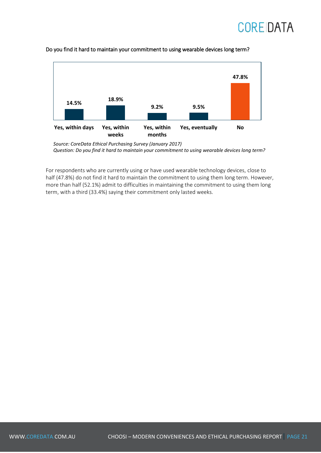



#### Do you find it hard to maintain your commitment to using wearable devices long term?

For respondents who are currently using or have used wearable technology devices, close to half (47.8%) do not find it hard to maintain the commitment to using them long term. However, more than half (52.1%) admit to difficulties in maintaining the commitment to using them long term, with a third (33.4%) saying their commitment only lasted weeks.

*Source: CoreData Ethical Purchasing Survey (January 2017) Question: Do you find it hard to maintain your commitment to using wearable devices long term?*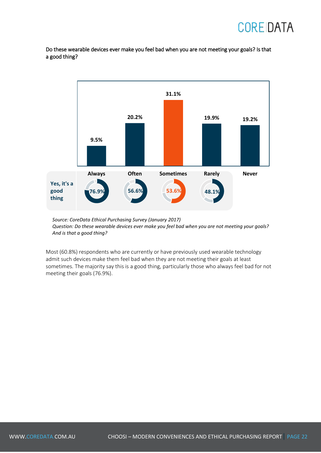Do these wearable devices ever make you feel bad when you are not meeting your goals? Is that a good thing?



*Source: CoreData Ethical Purchasing Survey (January 2017) Question: Do these wearable devices ever make you feel bad when you are not meeting your goals? And is that a good thing?*

Most (60.8%) respondents who are currently or have previously used wearable technology admit such devices make them feel bad when they are not meeting their goals at least sometimes. The majority say this is a good thing, particularly those who always feel bad for not meeting their goals (76.9%).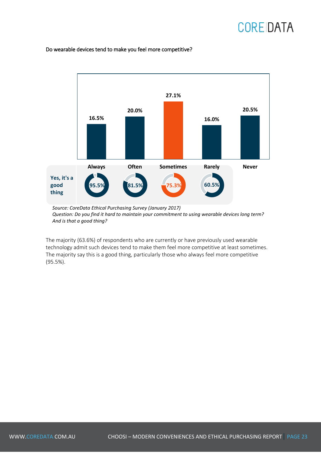#### Do wearable devices tend to make you feel more competitive?



*Question: Do you find it hard to maintain your commitment to using wearable devices long term? And is that a good thing?*

The majority (63.6%) of respondents who are currently or have previously used wearable technology admit such devices tend to make them feel more competitive at least sometimes. The majority say this is a good thing, particularly those who always feel more competitive (95.5%).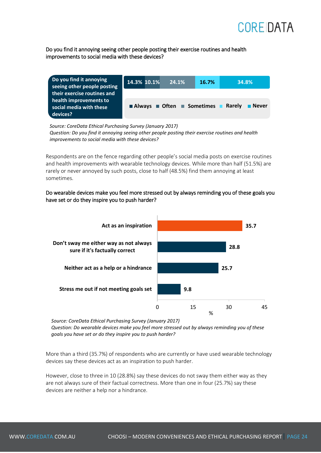

Do you find it annoying seeing other people posting their exercise routines and health improvements to social media with these devices?

| Do you find it annoying<br>seeing other people posting                                       | 14.3% 10.1% | 24.1%                                                                              | 16.7% | 34.8%  |              |
|----------------------------------------------------------------------------------------------|-------------|------------------------------------------------------------------------------------|-------|--------|--------------|
| their exercise routines and<br>health improvements to<br>social media with these<br>devices? |             | $\blacksquare$ Always $\blacksquare$ Often $\blacksquare$ Sometimes $\blacksquare$ |       | Rarely | <b>Never</b> |

*Source: CoreData Ethical Purchasing Survey (January 2017) Question: Do you find it annoying seeing other people posting their exercise routines and health improvements to social media with these devices?*

Respondents are on the fence regarding other people's social media posts on exercise routines and health improvements with wearable technology devices. While more than half (51.5%) are rarely or never annoyed by such posts, close to half (48.5%) find them annoying at least sometimes.

Do wearable devices make you feel more stressed out by always reminding you of these goals you have set or do they inspire you to push harder?



*Source: CoreData Ethical Purchasing Survey (January 2017)*

*Question: Do wearable devices make you feel more stressed out by always reminding you of these goals you have set or do they inspire you to push harder?*

More than a third (35.7%) of respondents who are currently or have used wearable technology devices say these devices act as an inspiration to push harder.

However, close to three in 10 (28.8%) say these devices do not sway them either way as they are not always sure of their factual correctness. More than one in four (25.7%) say these devices are neither a help nor a hindrance.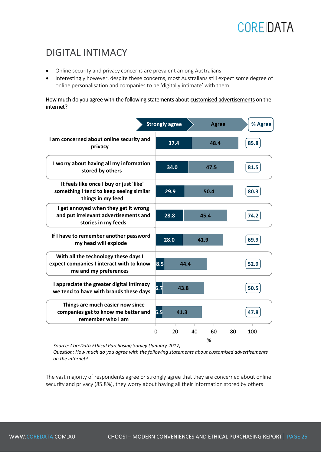#### DIGITAL INTIMACY

- Online security and privacy concerns are prevalent among Australians
- Interestingly however, despite these concerns, most Australians still expect some degree of online personalisation and companies to be 'digitally intimate' with them

#### How much do you agree with the following statements about customised advertisements on the internet?

|                                                                                                           | <b>Strongly agree</b> |      | <b>Agree</b> |    | % Agree |
|-----------------------------------------------------------------------------------------------------------|-----------------------|------|--------------|----|---------|
| I am concerned about online security and<br>privacy                                                       | 37.4                  |      | 48.4         |    | 85.8    |
| I worry about having all my information<br>stored by others                                               | 34.0                  |      | 47.5         |    | 81.5    |
| It feels like once I buy or just 'like'<br>something I tend to keep seeing similar<br>things in my feed   | 29.9                  |      | 50.4         |    | 80.3    |
| I get annoyed when they get it wrong<br>and put irrelevant advertisements and<br>stories in my feeds      | 28.8                  |      | 45.4         |    | 74.2    |
| If I have to remember another password<br>my head will explode                                            | 28.0                  | 41.9 |              |    | 69.9    |
| With all the technology these days I<br>expect companies I interact with to know<br>me and my preferences | 8.5                   | 44.4 |              |    | 52.9    |
| I appreciate the greater digital intimacy<br>we tend to have with brands these days                       | 6.7                   | 43.8 |              |    | 50.5    |
| Things are much easier now since<br>companies get to know me better and<br>remember who I am              | 6.5<br>41.3           |      |              |    | 47.8    |
|                                                                                                           | 0<br>20               | 40   | 60<br>%      | 80 | 100     |

*Source: CoreData Ethical Purchasing Survey (January 2017)*

*Question: How much do you agree with the following statements about customised advertisements on the internet?*

The vast majority of respondents agree or strongly agree that they are concerned about online security and privacy (85.8%), they worry about having all their information stored by others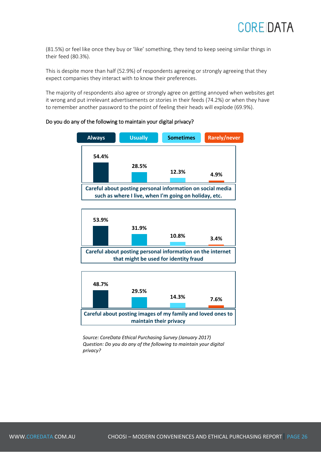(81.5%) or feel like once they buy or 'like' something, they tend to keep seeing similar things in their feed (80.3%).

This is despite more than half (52.9%) of respondents agreeing or strongly agreeing that they expect companies they interact with to know their preferences.

The majority of respondents also agree or strongly agree on getting annoyed when websites get it wrong and put irrelevant advertisements or stories in their feeds (74.2%) or when they have to remember another password to the point of feeling their heads will explode (69.9%).

#### Do you do any of the following to maintain your digital privacy?







*Source: CoreData Ethical Purchasing Survey (January 2017) Question: Do you do any of the following to maintain your digital privacy?*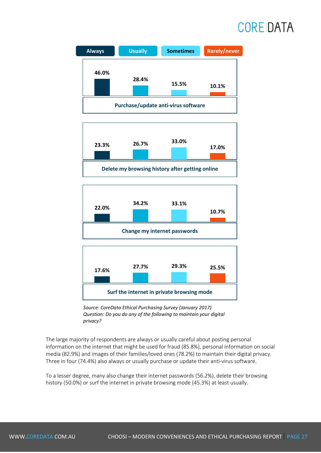





**Surf the internet in private browsing mode**

*Source: CoreData Ethical Purchasing Survey (January 2017) Question: Do you do any of the following to maintain your digital privacy?*

The large majority of respondents are always or usually careful about posting personal information on the internet that might be used for fraud (85.8%), personal information on social media (82.9%) and images of their families/loved ones (78.2%) to maintain their digital privacy. Three in four (74.4%) also always or usually purchase or update their anti-virus software.

To a lesser degree, many also change their internet passwords (56.2%), delete their browsing history (50.0%) or surf the internet in private browsing mode (45.3%) at least usually.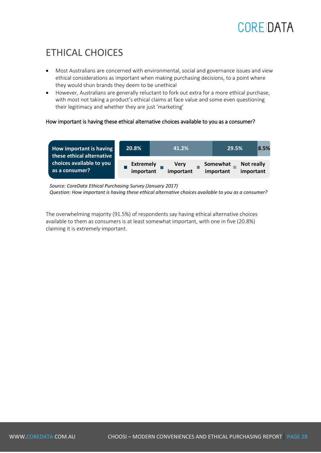#### ETHICAL CHOICES

- Most Australians are concerned with environmental, social and governance issues and view ethical considerations as important when making purchasing decisions, to a point where they would shun brands they deem to be unethical
- However, Australians are generally reluctant to fork out extra for a more ethical purchase, with most not taking a product's ethical claims at face value and some even questioning their legitimacy and whether they are just 'marketing'

#### How important is having these ethical alternative choices available to you as a consumer?

| How important is having<br>these ethical alternative | 20.8%                         | 41.2%                    | 29.5%                 |                                | 8.5% |
|------------------------------------------------------|-------------------------------|--------------------------|-----------------------|--------------------------------|------|
| choices available to you<br>as a consumer?           | <b>Extremely</b><br>important | <b>Very</b><br>important | Somewhat<br>important | <b>Not really</b><br>important |      |

*Source: CoreData Ethical Purchasing Survey (January 2017) Question: How important is having these ethical alternative choices available to you as a consumer?*

The overwhelming majority (91.5%) of respondents say having ethical alternative choices available to them as consumers is at least somewhat important, with one in five (20.8%) claiming it is extremely important.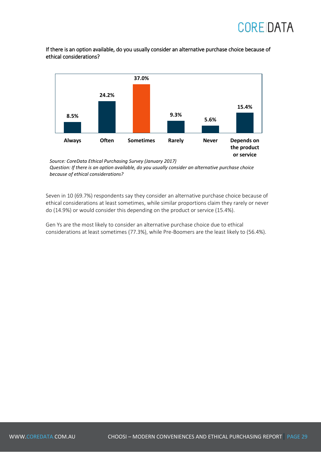If there is an option available, do you usually consider an alternative purchase choice because of ethical considerations?



*Source: CoreData Ethical Purchasing Survey (January 2017) Question: If there is an option available, do you usually consider an alternative purchase choice because of ethical considerations?*

Seven in 10 (69.7%) respondents say they consider an alternative purchase choice because of ethical considerations at least sometimes, while similar proportions claim they rarely or never do (14.9%) or would consider this depending on the product or service (15.4%).

Gen Ys are the most likely to consider an alternative purchase choice due to ethical considerations at least sometimes (77.3%), while Pre-Boomers are the least likely to (56.4%).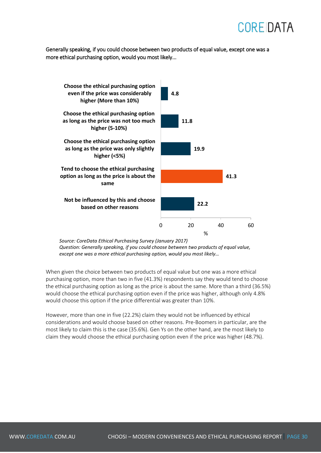Generally speaking, if you could choose between two products of equal value, except one was a more ethical purchasing option, would you most likely...



*Question: Generally speaking, if you could choose between two products of equal value, except one was a more ethical purchasing option, would you most likely…*

When given the choice between two products of equal value but one was a more ethical purchasing option, more than two in five (41.3%) respondents say they would tend to choose the ethical purchasing option as long as the price is about the same. More than a third (36.5%) would choose the ethical purchasing option even if the price was higher, although only 4.8% would choose this option if the price differential was greater than 10%.

However, more than one in five (22.2%) claim they would not be influenced by ethical considerations and would choose based on other reasons. Pre-Boomers in particular, are the most likely to claim this is the case (35.6%). Gen Ys on the other hand, are the most likely to claim they would choose the ethical purchasing option even if the price was higher (48.7%).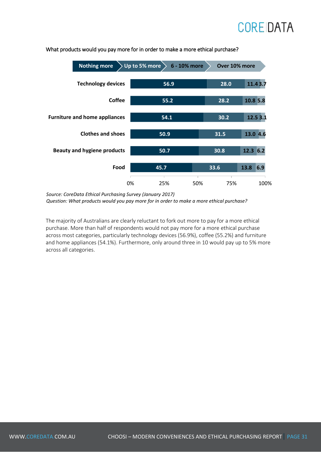

#### What products would you pay more for in order to make a more ethical purchase?

*Source: CoreData Ethical Purchasing Survey (January 2017) Question: What products would you pay more for in order to make a more ethical purchase?*

The majority of Australians are clearly reluctant to fork out more to pay for a more ethical purchase. More than half of respondents would not pay more for a more ethical purchase across most categories, particularly technology devices (56.9%), coffee (55.2%) and furniture and home appliances (54.1%). Furthermore, only around three in 10 would pay up to 5% more across all categories.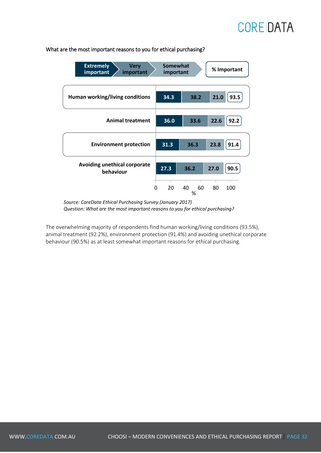

#### What are the most important reasons to you for ethical purchasing?

*Source: CoreData Ethical Purchasing Survey (January 2017) Question: What are the most important reasons to you for ethical purchasing?*

The overwhelming majority of respondents find human working/living conditions (93.5%), animal treatment (92.2%), environment protection (91.4%) and avoiding unethical corporate behaviour (90.5%) as at least somewhat important reasons for ethical purchasing.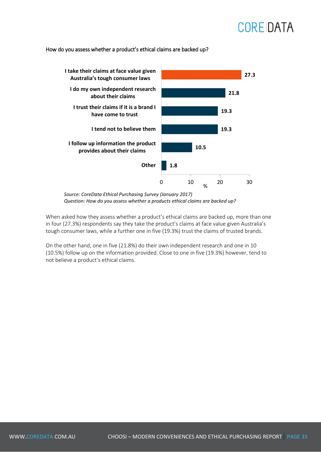#### How do you assess whether a product's ethical claims are backed up?



*Source: CoreData Ethical Purchasing Survey (January 2017) Question: How do you assess whether a products ethical claims are backed up?*

When asked how they assess whether a product's ethical claims are backed up, more than one in four (27.3%) respondents say they take the product's claims at face value given Australia's tough consumer laws, while a further one in five (19.3%) trust the claims of trusted brands.

On the other hand, one in five (21.8%) do their own independent research and one in 10 (10.5%) follow up on the information provided. Close to one in five (19.3%) however, tend to not believe a product's ethical claims.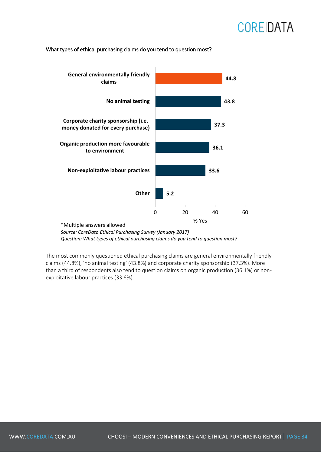#### What types of ethical purchasing claims do you tend to question most?



*Source: CoreData Ethical Purchasing Survey (January 2017) Question: What types of ethical purchasing claims do you tend to question most?*

The most commonly questioned ethical purchasing claims are general environmentally friendly claims (44.8%), 'no animal testing' (43.8%) and corporate charity sponsorship (37.3%). More than a third of respondents also tend to question claims on organic production (36.1%) or nonexploitative labour practices (33.6%).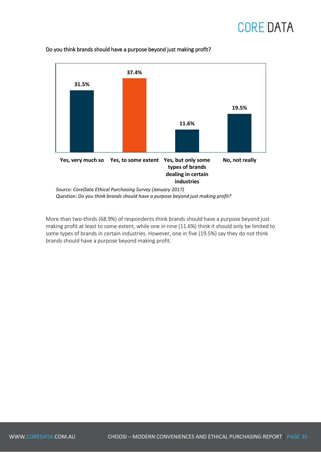### **CORE DATA**



#### Do you think brands should have a purpose beyond just making profit?

More than two-thirds (68.9%) of respondents think brands should have a purpose beyond just making profit at least to some extent, while one in nine (11.6%) think it should only be limited to some types of brands in certain industries. However, one in five (19.5%) say they do not think brands should have a purpose beyond making profit.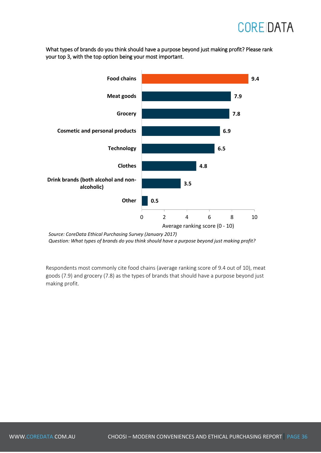What types of brands do you think should have a purpose beyond just making profit? Please rank your top 3, with the top option being your most important.



*Source: CoreData Ethical Purchasing Survey (January 2017) Question: What types of brands do you think should have a purpose beyond just making profit?*

Respondents most commonly cite food chains (average ranking score of 9.4 out of 10), meat goods (7.9) and grocery (7.8) as the types of brands that should have a purpose beyond just making profit.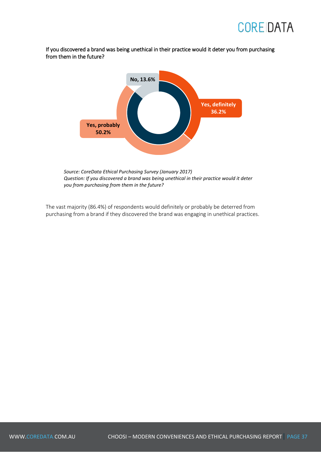

If you discovered a brand was being unethical in their practice would it deter you from purchasing from them in the future?



*Source: CoreData Ethical Purchasing Survey (January 2017) Question: If you discovered a brand was being unethical in their practice would it deter you from purchasing from them in the future?*

The vast majority (86.4%) of respondents would definitely or probably be deterred from purchasing from a brand if they discovered the brand was engaging in unethical practices.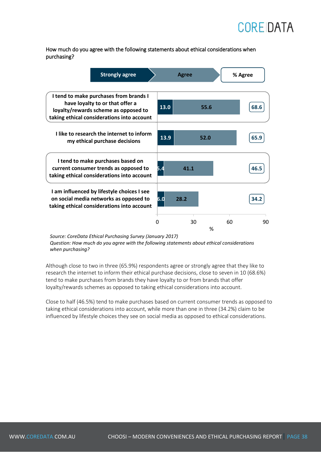

How much do you agree with the following statements about ethical considerations when purchasing?

| <b>Strongly agree</b>                                                                                                                                           |      | <b>Agree</b> |      | % Agree |      |
|-----------------------------------------------------------------------------------------------------------------------------------------------------------------|------|--------------|------|---------|------|
| I tend to make purchases from brands I<br>have loyalty to or that offer a<br>loyalty/rewards scheme as opposed to<br>taking ethical considerations into account | 13.0 |              | 55.6 |         | 68.6 |
| I like to research the internet to inform<br>my ethical purchase decisions                                                                                      | 13.9 |              | 52.0 |         | 65.9 |
| I tend to make purchases based on<br>current consumer trends as opposed to<br>taking ethical considerations into account                                        | Б.4  | 41.1         |      |         | 46.5 |
| I am influenced by lifestyle choices I see<br>on social media networks as opposed to<br>taking ethical considerations into account                              | 6.d  | 28.2         |      |         | 34.2 |
|                                                                                                                                                                 | 0    | 30           | %    | 60      | 90   |

*Source: CoreData Ethical Purchasing Survey (January 2017) Question: How much do you agree with the following statements about ethical considerations when purchasing?*

Although close to two in three (65.9%) respondents agree or strongly agree that they like to research the internet to inform their ethical purchase decisions, close to seven in 10 (68.6%) tend to make purchases from brands they have loyalty to or from brands that offer loyalty/rewards schemes as opposed to taking ethical considerations into account.

Close to half (46.5%) tend to make purchases based on current consumer trends as opposed to taking ethical considerations into account, while more than one in three (34.2%) claim to be influenced by lifestyle choices they see on social media as opposed to ethical considerations.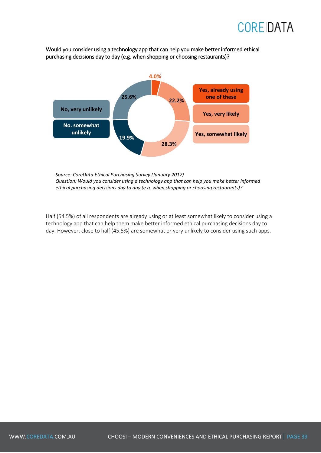Would you consider using a technology app that can help you make better informed ethical purchasing decisions day to day (e.g. when shopping or choosing restaurants)?



*Source: CoreData Ethical Purchasing Survey (January 2017) Question: Would you consider using a technology app that can help you make better informed ethical purchasing decisions day to day (e.g. when shopping or choosing restaurants)?*

Half (54.5%) of all respondents are already using or at least somewhat likely to consider using a technology app that can help them make better informed ethical purchasing decisions day to day. However, close to half (45.5%) are somewhat or very unlikely to consider using such apps.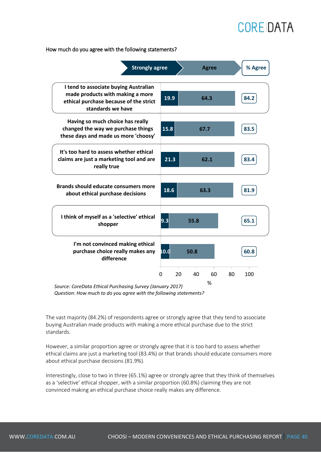How much do you agree with the following statements?



*Question: How much to do you agree with the following statements?*

The vast majority (84.2%) of respondents agree or strongly agree that they tend to associate buying Australian made products with making a more ethical purchase due to the strict standards.

However, a similar proportion agree or strongly agree that it is too hard to assess whether ethical claims are just a marketing tool (83.4%) or that brands should educate consumers more about ethical purchase decisions (81.9%).

Interestingly, close to two in three (65.1%) agree or strongly agree that they think of themselves as a 'selective' ethical shopper, with a similar proportion (60.8%) claiming they are not convinced making an ethical purchase choice really makes any difference.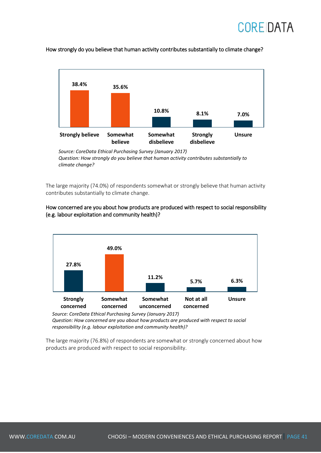



How strongly do you believe that human activity contributes substantially to climate change?

The large majority (74.0%) of respondents somewhat or strongly believe that human activity contributes substantially to climate change.



#### How concerned are you about how products are produced with respect to social responsibility (e.g. labour exploitation and community health)?

*Source: CoreData Ethical Purchasing Survey (January 2017) Question: How concerned are you about how products are produced with respect to social responsibility (e.g. labour exploitation and community health)?*

The large majority (76.8%) of respondents are somewhat or strongly concerned about how products are produced with respect to social responsibility.

*Source: CoreData Ethical Purchasing Survey (January 2017) Question: How strongly do you believe that human activity contributes substantially to climate change?*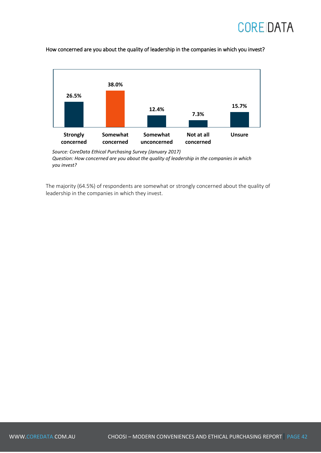



How concerned are you about the quality of leadership in the companies in which you invest?

*Source: CoreData Ethical Purchasing Survey (January 2017) Question: How concerned are you about the quality of leadership in the companies in which you invest?*

The majority (64.5%) of respondents are somewhat or strongly concerned about the quality of leadership in the companies in which they invest.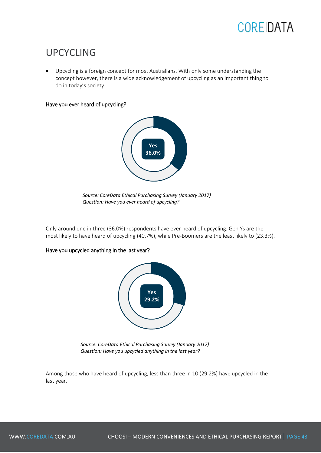

#### UPCYCLING

 Upcycling is a foreign concept for most Australians. With only some understanding the concept however, there is a wide acknowledgement of upcycling as an important thing to do in today's society

#### Have you ever heard of upcycling?



*Source: CoreData Ethical Purchasing Survey (January 2017) Question: Have you ever heard of upcycling?*

Only around one in three (36.0%) respondents have ever heard of upcycling. Gen Ys are the most likely to have heard of upcycling (40.7%), while Pre-Boomers are the least likely to (23.3%).

#### Have you upcycled anything in the last year?



*Source: CoreData Ethical Purchasing Survey (January 2017) Question: Have you upcycled anything in the last year?*

Among those who have heard of upcycling, less than three in 10 (29.2%) have upcycled in the last year.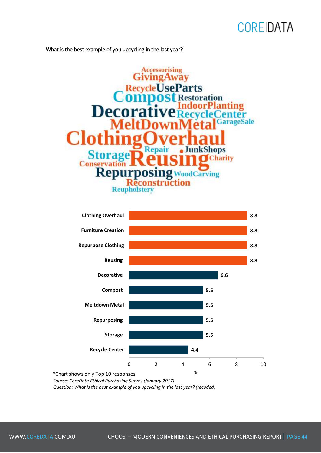What is the best example of you upcycling in the last year?





*Source: CoreData Ethical Purchasing Survey (January 2017)*

*Question: What is the best example of you upcycling in the last year? (recoded)*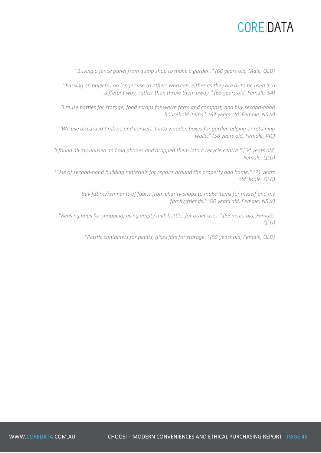*''Buying a fence panel from dump shop to make a garden.'' (68 years old, Male, QLD)* 

*''Passing on objects I no longer use to others who can, either as they are or to be used in a different way, rather than throw them away.'' (65 years old, Female, SA)* 

*''I reuse bottles for storage, food scraps for worm farm and compost, and buy second-hand household items.'' (64 years old, Female, NSW)* 

*''We use discarded timbers and convert it into wooden boxes for garden edging or retaining walls.'' (58 years old, Female, VIC)* 

*''I found all my unused and old phones and dropped them into a recycle centre.'' (54 years old, Female, QLD)* 

*''Use of second-hand building materials for repairs around the property and home.'' (71 years old, Male, QLD)* 

> *''Buy fabric/remnants of fabric from charity shops to make items for myself and my family/friends.'' (60 years old, Female, NSW)*

*''Reusing bags for shopping, using empty milk bottles for other uses.'' (53 years old, Female, QLD)* 

*''Plastic containers for plants, glass jars for storage.'' (56 years old, Female, QLD)*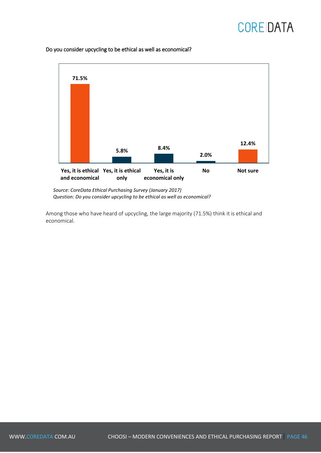

Do you consider upcycling to be ethical as well as economical?

*Source: CoreData Ethical Purchasing Survey (January 2017) Question: Do you consider upcycling to be ethical as well as economical?*

Among those who have heard of upcycling, the large majority (71.5%) think it is ethical and economical.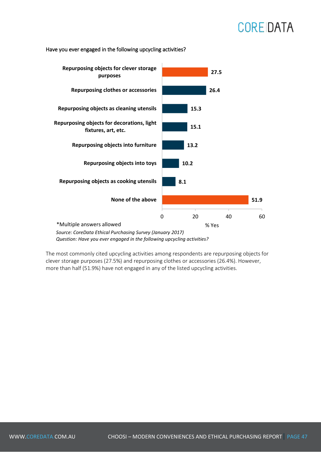

Have you ever engaged in the following upcycling activities?

*Source: CoreData Ethical Purchasing Survey (January 2017) Question: Have you ever engaged in the following upcycling activities?*

The most commonly cited upcycling activities among respondents are repurposing objects for clever storage purposes (27.5%) and repurposing clothes or accessories (26.4%). However, more than half (51.9%) have not engaged in any of the listed upcycling activities.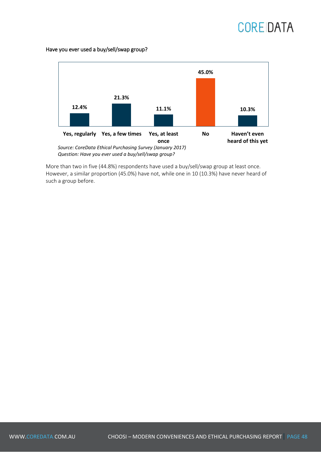Have you ever used a buy/sell/swap group?



More than two in five (44.8%) respondents have used a buy/sell/swap group at least once. However, a similar proportion (45.0%) have not, while one in 10 (10.3%) have never heard of such a group before.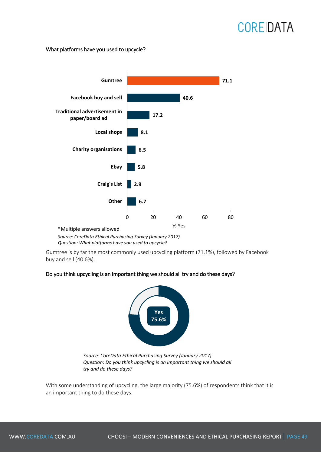#### What platforms have you used to upcycle?



*Source: CoreData Ethical Purchasing Survey (January 2017) Question: What platforms have you used to upcycle?*

Gumtree is by far the most commonly used upcycling platform (71.1%), followed by Facebook buy and sell (40.6%).

#### Do you think upcycling is an important thing we should all try and do these days?



*Source: CoreData Ethical Purchasing Survey (January 2017) Question: Do you think upcycling is an important thing we should all try and do these days?*

With some understanding of upcycling, the large majority (75.6%) of respondents think that it is an important thing to do these days.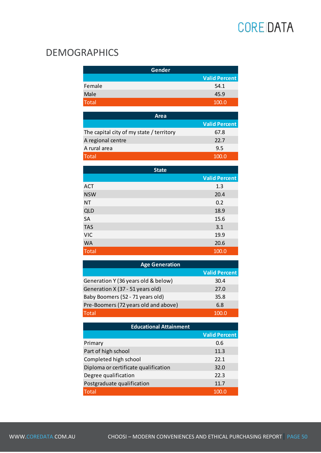#### DEMOGRAPHICS

| Gender |                      |
|--------|----------------------|
|        | <b>Valid Percent</b> |
| Female | 54.1                 |
| Male   | 45.9                 |
| Total  | 100.0                |

| Area                                     |                      |
|------------------------------------------|----------------------|
|                                          | <b>Valid Percent</b> |
| The capital city of my state / territory | 67.8                 |
| A regional centre                        | 22.7                 |
| A rural area                             | 9.5                  |
| <b>Total</b>                             | 100.0                |

| <b>State</b> |                      |  |
|--------------|----------------------|--|
|              | <b>Valid Percent</b> |  |
| <b>ACT</b>   | 1.3                  |  |
| <b>NSW</b>   | 20.4                 |  |
| <b>NT</b>    | 0.2                  |  |
| <b>QLD</b>   | 18.9                 |  |
| SA           | 15.6                 |  |
| <b>TAS</b>   | 3.1                  |  |
| <b>VIC</b>   | 19.9                 |  |
| <b>WA</b>    | 20.6                 |  |
| <b>Total</b> | 100.0                |  |

| <b>Age Generation</b>                |                      |  |  |
|--------------------------------------|----------------------|--|--|
|                                      | <b>Valid Percent</b> |  |  |
| Generation Y (36 years old & below)  | 30.4                 |  |  |
| Generation X (37 - 51 years old)     | 27.0                 |  |  |
| Baby Boomers (52 - 71 years old)     | 35.8                 |  |  |
| Pre-Boomers (72 years old and above) | 6.8                  |  |  |
| <b>Total</b>                         |                      |  |  |

| <b>Educational Attainment</b>        |                      |  |  |
|--------------------------------------|----------------------|--|--|
|                                      | <b>Valid Percent</b> |  |  |
| Primary                              | 0.6                  |  |  |
| Part of high school                  | 11.3                 |  |  |
| Completed high school                | 22.1                 |  |  |
| Diploma or certificate qualification | 32.0                 |  |  |
| Degree qualification                 | 22.3                 |  |  |
| Postgraduate qualification           | 11.7                 |  |  |
| Total                                | 100.0                |  |  |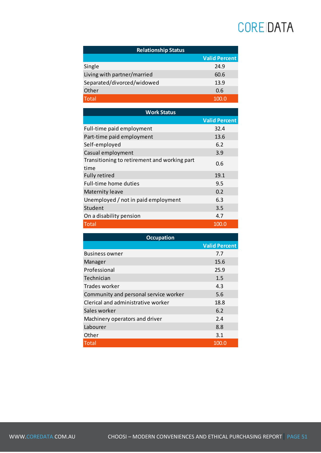| <b>Relationship Status</b>  |                      |  |  |
|-----------------------------|----------------------|--|--|
|                             | <b>Valid Percent</b> |  |  |
| Single                      | 24.9                 |  |  |
| Living with partner/married | 60.6                 |  |  |
| Separated/divorced/widowed  | 13.9                 |  |  |
| Other                       | 0.6                  |  |  |
| <b>Total</b>                |                      |  |  |

| <b>Work Status</b>                                   |                      |
|------------------------------------------------------|----------------------|
|                                                      | <b>Valid Percent</b> |
| Full-time paid employment                            | 32.4                 |
| Part-time paid employment                            | 13.6                 |
| Self-employed                                        | 6.2                  |
| Casual employment                                    | 3.9                  |
| Transitioning to retirement and working part<br>time | 0.6                  |
| <b>Fully retired</b>                                 | 19.1                 |
| <b>Full-time home duties</b>                         | 9.5                  |
| <b>Maternity leave</b>                               | 0.2                  |
| Unemployed / not in paid employment                  | 6.3                  |
| Student                                              | 3.5                  |
| On a disability pension                              | 4.7                  |
| Total                                                | 100.0                |

| <b>Occupation</b>                     |                      |
|---------------------------------------|----------------------|
|                                       | <b>Valid Percent</b> |
| <b>Business owner</b>                 | 7.7                  |
| Manager                               | 15.6                 |
| Professional                          | 25.9                 |
| Technician                            | 1.5                  |
| Trades worker                         | 4.3                  |
| Community and personal service worker | 5.6                  |
| Clerical and administrative worker    | 18.8                 |
| Sales worker                          | 6.2                  |
| Machinery operators and driver        | 2.4                  |
| Labourer                              | 8.8                  |
| Other                                 | 3.1                  |
| Total                                 | 100.0                |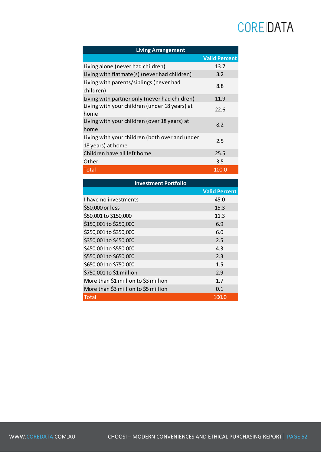| <b>Living Arrangement</b>                                           |                      |
|---------------------------------------------------------------------|----------------------|
|                                                                     | <b>Valid Percent</b> |
| Living alone (never had children)                                   | 13.7                 |
| Living with flatmate(s) (never had children)                        | 3.2                  |
| Living with parents/siblings (never had<br>children)                | 8.8                  |
| Living with partner only (never had children)                       | 11.9                 |
| Living with your children (under 18 years) at<br>home               | 22.6                 |
| Living with your children (over 18 years) at<br>home                | 8.2                  |
| Living with your children (both over and under<br>18 years) at home | 2.5                  |
| Children have all left home                                         | 25.5                 |
| Other                                                               | 3.5                  |
| Total                                                               | 100.0                |

| <b>Investment Portfolio</b>          |                      |  |
|--------------------------------------|----------------------|--|
|                                      | <b>Valid Percent</b> |  |
| I have no investments                | 45.0                 |  |
| \$50,000 or less                     | 15.3                 |  |
| \$50,001 to \$150,000                | 11.3                 |  |
| \$150,001 to \$250,000               | 6.9                  |  |
| \$250,001 to \$350,000               | 6.0                  |  |
| \$350,001 to \$450,000               | 2.5                  |  |
| \$450,001 to \$550,000               | 4.3                  |  |
| \$550,001 to \$650,000               | 2.3                  |  |
| \$650,001 to \$750,000               | 1.5                  |  |
| \$750,001 to \$1 million             | 2.9                  |  |
| More than \$1 million to \$3 million | 1.7                  |  |
| More than \$3 million to \$5 million | 0.1                  |  |
| Total                                | 100.0                |  |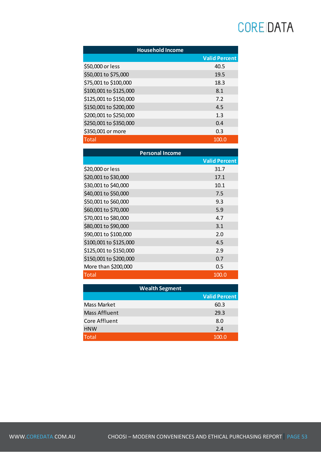| <b>Household Income</b> |                      |  |
|-------------------------|----------------------|--|
|                         | <b>Valid Percent</b> |  |
| \$50,000 or less        | 40.5                 |  |
| \$50,001 to \$75,000    | 19.5                 |  |
| \$75,001 to \$100,000   | 18.3                 |  |
| \$100,001 to \$125,000  | 8.1                  |  |
| \$125,001 to \$150,000  | 7.2                  |  |
| \$150,001 to \$200,000  | 4.5                  |  |
| \$200,001 to \$250,000  | 1.3                  |  |
| \$250,001 to \$350,000  | 0.4                  |  |
| \$350,001 or more       | 0.3                  |  |
| Total                   | 100.0                |  |

| <b>Personal Income</b> |                      |  |
|------------------------|----------------------|--|
|                        | <b>Valid Percent</b> |  |
| \$20,000 or less       | 31.7                 |  |
| \$20,001 to \$30,000   | 17.1                 |  |
| \$30,001 to \$40,000   | 10.1                 |  |
| \$40,001 to \$50,000   | 7.5                  |  |
| \$50,001 to \$60,000   | 9.3                  |  |
| \$60,001 to \$70,000   | 5.9                  |  |
| \$70,001 to \$80,000   | 4.7                  |  |
| \$80,001 to \$90,000   | 3.1                  |  |
| \$90,001 to \$100,000  | 2.0                  |  |
| \$100,001 to \$125,000 | 4.5                  |  |
| \$125,001 to \$150,000 | 2.9                  |  |
| \$150,001 to \$200,000 | 0.7                  |  |
| More than \$200,000    | 0.5                  |  |
| Total                  | 100.0                |  |

|               | <b>Wealth Segment</b> |
|---------------|-----------------------|
|               | <b>Valid Percent</b>  |
| Mass Market   | 60.3                  |
| Mass Affluent | 29.3                  |
| Core Affluent | 8.0                   |
| <b>HNW</b>    | 2.4                   |
| <b>Total</b>  | 100.0                 |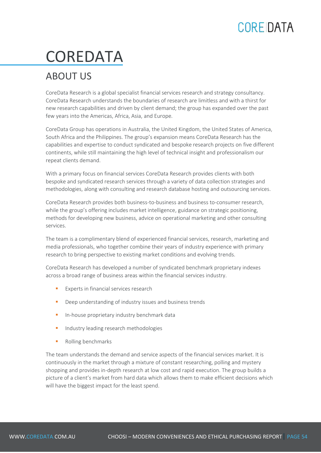# COREDATA

#### ABOUT US

CoreData Research is a global specialist financial services research and strategy consultancy. CoreData Research understands the boundaries of research are limitless and with a thirst for new research capabilities and driven by client demand; the group has expanded over the past few years into the Americas, Africa, Asia, and Europe.

CoreData Group has operations in Australia, the United Kingdom, the United States of America, South Africa and the Philippines. The group's expansion means CoreData Research has the capabilities and expertise to conduct syndicated and bespoke research projects on five different continents, while still maintaining the high level of technical insight and professionalism our repeat clients demand.

With a primary focus on financial services CoreData Research provides clients with both bespoke and syndicated research services through a variety of data collection strategies and methodologies, along with consulting and research database hosting and outsourcing services.

CoreData Research provides both business-to-business and business to-consumer research, while the group's offering includes market intelligence, guidance on strategic positioning, methods for developing new business, advice on operational marketing and other consulting services.

The team is a complimentary blend of experienced financial services, research, marketing and media professionals, who together combine their years of industry experience with primary research to bring perspective to existing market conditions and evolving trends.

CoreData Research has developed a number of syndicated benchmark proprietary indexes across a broad range of business areas within the financial services industry.

- Experts in financial services research
- **•** Deep understanding of industry issues and business trends
- **In-house proprietary industry benchmark data**
- **Industry leading research methodologies**
- Rolling benchmarks

The team understands the demand and service aspects of the financial services market. It is continuously in the market through a mixture of constant researching, polling and mystery shopping and provides in-depth research at low cost and rapid execution. The group builds a picture of a client's market from hard data which allows them to make efficient decisions which will have the biggest impact for the least spend.